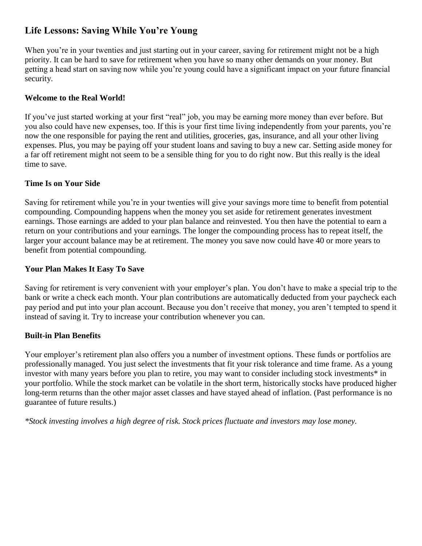# **Life Lessons: Saving While You're Young**

When you're in your twenties and just starting out in your career, saving for retirement might not be a high priority. It can be hard to save for retirement when you have so many other demands on your money. But getting a head start on saving now while you're young could have a significant impact on your future financial security.

## **Welcome to the Real World!**

If you've just started working at your first "real" job, you may be earning more money than ever before. But you also could have new expenses, too. If this is your first time living independently from your parents, you're now the one responsible for paying the rent and utilities, groceries, gas, insurance, and all your other living expenses. Plus, you may be paying off your student loans and saving to buy a new car. Setting aside money for a far off retirement might not seem to be a sensible thing for you to do right now. But this really is the ideal time to save.

### **Time Is on Your Side**

Saving for retirement while you're in your twenties will give your savings more time to benefit from potential compounding. Compounding happens when the money you set aside for retirement generates investment earnings. Those earnings are added to your plan balance and reinvested. You then have the potential to earn a return on your contributions and your earnings. The longer the compounding process has to repeat itself, the larger your account balance may be at retirement. The money you save now could have 40 or more years to benefit from potential compounding.

## **Your Plan Makes It Easy To Save**

Saving for retirement is very convenient with your employer's plan. You don't have to make a special trip to the bank or write a check each month. Your plan contributions are automatically deducted from your paycheck each pay period and put into your plan account. Because you don't receive that money, you aren't tempted to spend it instead of saving it. Try to increase your contribution whenever you can.

### **Built-in Plan Benefits**

Your employer's retirement plan also offers you a number of investment options. These funds or portfolios are professionally managed. You just select the investments that fit your risk tolerance and time frame. As a young investor with many years before you plan to retire, you may want to consider including stock investments\* in your portfolio. While the stock market can be volatile in the short term, historically stocks have produced higher long-term returns than the other major asset classes and have stayed ahead of inflation. (Past performance is no guarantee of future results.)

*\*Stock investing involves a high degree of risk. Stock prices fluctuate and investors may lose money.*